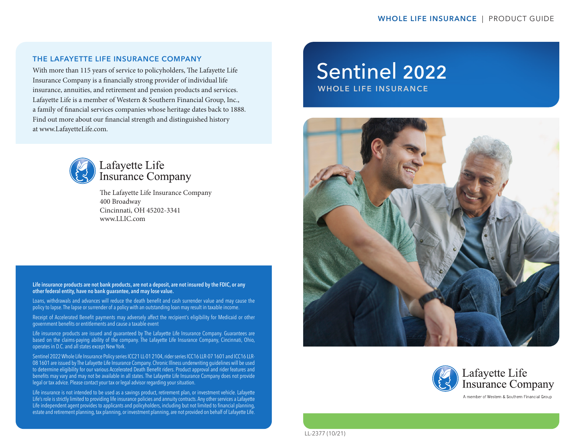### THE LAFAYETTE LIFE INSURANCE COMPANY

With more than 115 years of service to policyholders, The Lafayette Life Insurance Company is a financially strong provider of individual life insurance, annuities, and retirement and pension products and services. Lafayette Life is a member of Western & Southern Financial Group, Inc., a family of financial services companies whose heritage dates back to 1888. Find out more about our financial strength and distinguished history at www.LafayetteLife.com.



# Lafayette Life<br>Insurance Company

The Lafayette Life Insurance Company 400 Broadway Cincinnati, OH 45202-3341 www.LLIC.com

#### Life insurance products are not bank products, are not a deposit, are not insured by the FDIC, or any other federal entity, have no bank guarantee, and may lose value.

Loans, withdrawals and advances will reduce the death benefit and cash surrender value and may cause the policy to lapse. The lapse or surrender of a policy with an outstanding loan may result in taxable income.

Receipt of Accelerated Benefit payments may adversely affect the recipient's eligibility for Medicaid or other government benefits or entitlements and cause a taxable event

Life insurance products are issued and guaranteed by The Lafayette Life Insurance Company. Guarantees are based on the claims-paying ability of the company. The Lafayette Life Insurance Company, Cincinnati, Ohio, operates in D.C. and all states except New York.

Sentinel 2022 Whole Life Insurance Policy series ICC21 LL-01 2104, rider series ICC16 LLR-07 1601 and ICC16 LLR-08 1601 are issued by The Lafayette Life Insurance Company. Chronic Illness underwriting guidelines will be used to determine eligibility for our various Accelerated Death Benefit riders. Product approval and rider features and benefits may vary and may not be available in all states. The Lafayette Life Insurance Company does not provide legal or tax advice. Please contact your tax or legal advisor regarding your situation.

Life insurance is not intended to be used as a savings product, retirement plan, or investment vehicle. Lafayette Life's role is strictly limited to providing life insurance policies and annuity contracts. Any other services a Lafayette Life independent agent provides to applicants and policyholders, including but not limited to financial planning, estate and retirement planning, tax planning, or investment planning, are not provided on behalf of Lafayette Life.

# Sentinel 2022

WHOLE LIFE INSURANCE





LL-2377 (10/21)